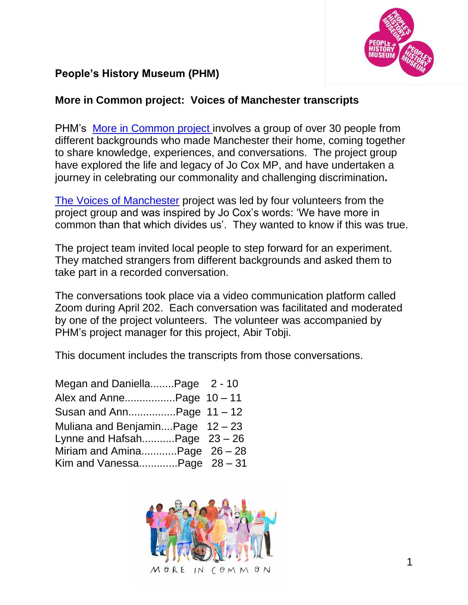

## **People's History Museum (PHM)**

## **More in Common project: Voices of Manchester transcripts**

PHM's More in [Common](https://phm.org.uk/exhibitions/more-in-common-in-memory-of-jo-cox/) project involves a group of over 30 people from different backgrounds who made Manchester their home, coming together to share knowledge, experiences, and conversations. The project group have explored the life and legacy of Jo Cox MP, and have undertaken a journey in celebrating our commonality and challenging discrimination**.**

[The Voices of Manchester](https://moreincommon.phm.org.uk/voices-of-manchester/) project was led by four volunteers from the project group and was inspired by Jo Cox's words: 'We have more in common than that which divides us'. They wanted to know if this was true.

The project team invited local people to step forward for an experiment. They matched strangers from different backgrounds and asked them to take part in a recorded conversation.

The conversations took place via a video communication platform called Zoom during April 202. Each conversation was facilitated and moderated by one of the project volunteers. The volunteer was accompanied by PHM's project manager for this project, Abir Tobji.

This document includes the transcripts from those conversations.

| Megan and DaniellaPage 2 - 10    |  |
|----------------------------------|--|
| Alex and AnnePage 10 - 11        |  |
| Susan and AnnPage 11 - 12        |  |
| Muliana and BenjaminPage 12 - 23 |  |
| Lynne and HafsahPage $23 - 26$   |  |
| Miriam and AminaPage 26 - 28     |  |
| Kim and VanessaPage $28 - 31$    |  |

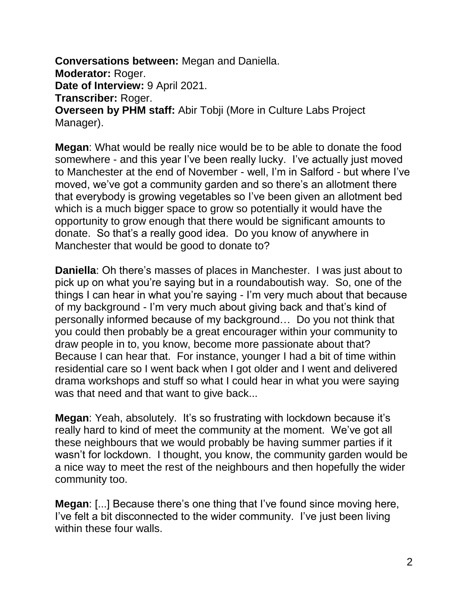**Conversations between:** Megan and Daniella. **Moderator:** Roger. Date of Interview: 9 April 2021. **Transcriber:** Roger. **Overseen by PHM staff:** Abir Tobji (More in Culture Labs Project Manager).

**Megan**: What would be really nice would be to be able to donate the food somewhere - and this year I've been really lucky. I've actually just moved to Manchester at the end of November - well, I'm in Salford - but where I've moved, we've got a community garden and so there's an allotment there that everybody is growing vegetables so I've been given an allotment bed which is a much bigger space to grow so potentially it would have the opportunity to grow enough that there would be significant amounts to donate. So that's a really good idea. Do you know of anywhere in Manchester that would be good to donate to?

**Daniella**: Oh there's masses of places in Manchester. I was just about to pick up on what you're saying but in a roundaboutish way. So, one of the things I can hear in what you're saying - I'm very much about that because of my background - I'm very much about giving back and that's kind of personally informed because of my background… Do you not think that you could then probably be a great encourager within your community to draw people in to, you know, become more passionate about that? Because I can hear that. For instance, younger I had a bit of time within residential care so I went back when I got older and I went and delivered drama workshops and stuff so what I could hear in what you were saying was that need and that want to give back...

**Megan:** Yeah, absolutely. It's so frustrating with lockdown because it's really hard to kind of meet the community at the moment. We've got all these neighbours that we would probably be having summer parties if it wasn't for lockdown. I thought, you know, the community garden would be a nice way to meet the rest of the neighbours and then hopefully the wider community too.

**Megan**: [...] Because there's one thing that I've found since moving here, I've felt a bit disconnected to the wider community. I've just been living within these four walls.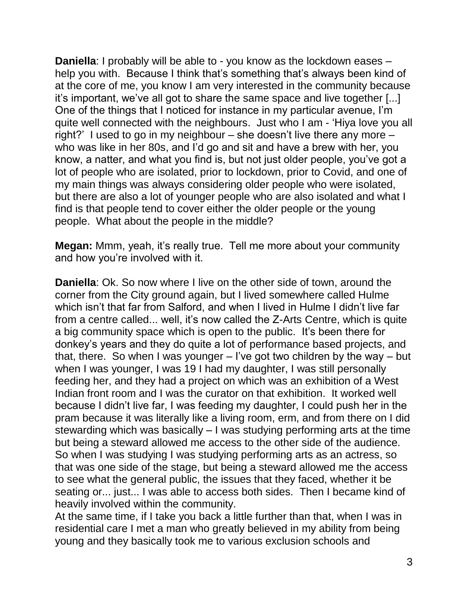**Daniella**: I probably will be able to - you know as the lockdown eases – help you with. Because I think that's something that's always been kind of at the core of me, you know I am very interested in the community because it's important, we've all got to share the same space and live together [...] One of the things that I noticed for instance in my particular avenue, I'm quite well connected with the neighbours. Just who I am - 'Hiya love you all right?' I used to go in my neighbour – she doesn't live there any more – who was like in her 80s, and I'd go and sit and have a brew with her, you know, a natter, and what you find is, but not just older people, you've got a lot of people who are isolated, prior to lockdown, prior to Covid, and one of my main things was always considering older people who were isolated, but there are also a lot of younger people who are also isolated and what I find is that people tend to cover either the older people or the young people. What about the people in the middle?

**Megan:** Mmm, yeah, it's really true. Tell me more about your community and how you're involved with it.

**Daniella**: Ok. So now where I live on the other side of town, around the corner from the City ground again, but I lived somewhere called Hulme which isn't that far from Salford, and when I lived in Hulme I didn't live far from a centre called... well, it's now called the Z-Arts Centre, which is quite a big community space which is open to the public. It's been there for donkey's years and they do quite a lot of performance based projects, and that, there. So when I was younger – I've got two children by the way – but when I was younger, I was 19 I had my daughter, I was still personally feeding her, and they had a project on which was an exhibition of a West Indian front room and I was the curator on that exhibition. It worked well because I didn't live far, I was feeding my daughter, I could push her in the pram because it was literally like a living room, erm, and from there on I did stewarding which was basically – I was studying performing arts at the time but being a steward allowed me access to the other side of the audience. So when I was studying I was studying performing arts as an actress, so that was one side of the stage, but being a steward allowed me the access to see what the general public, the issues that they faced, whether it be seating or... just... I was able to access both sides. Then I became kind of heavily involved within the community.

At the same time, if I take you back a little further than that, when I was in residential care I met a man who greatly believed in my ability from being young and they basically took me to various exclusion schools and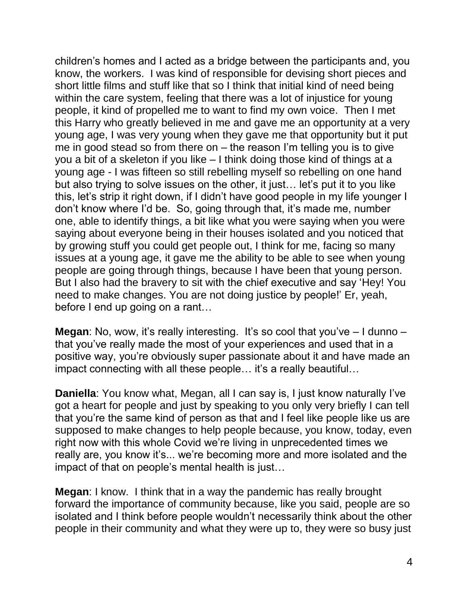children's homes and I acted as a bridge between the participants and, you know, the workers. I was kind of responsible for devising short pieces and short little films and stuff like that so I think that initial kind of need being within the care system, feeling that there was a lot of injustice for young people, it kind of propelled me to want to find my own voice. Then I met this Harry who greatly believed in me and gave me an opportunity at a very young age, I was very young when they gave me that opportunity but it put me in good stead so from there on – the reason I'm telling you is to give you a bit of a skeleton if you like – I think doing those kind of things at a young age - I was fifteen so still rebelling myself so rebelling on one hand but also trying to solve issues on the other, it just… let's put it to you like this, let's strip it right down, if I didn't have good people in my life younger I don't know where I'd be. So, going through that, it's made me, number one, able to identify things, a bit like what you were saying when you were saying about everyone being in their houses isolated and you noticed that by growing stuff you could get people out, I think for me, facing so many issues at a young age, it gave me the ability to be able to see when young people are going through things, because I have been that young person. But I also had the bravery to sit with the chief executive and say 'Hey! You need to make changes. You are not doing justice by people!' Er, yeah, before I end up going on a rant…

**Megan**: No, wow, it's really interesting. It's so cool that you've - I dunno that you've really made the most of your experiences and used that in a positive way, you're obviously super passionate about it and have made an impact connecting with all these people... it's a really beautiful...

**Daniella**: You know what, Megan, all I can say is, I just know naturally I've got a heart for people and just by speaking to you only very briefly I can tell that you're the same kind of person as that and I feel like people like us are supposed to make changes to help people because, you know, today, even right now with this whole Covid we're living in unprecedented times we really are, you know it's... we're becoming more and more isolated and the impact of that on people's mental health is just…

**Megan**: I know. I think that in a way the pandemic has really brought forward the importance of community because, like you said, people are so isolated and I think before people wouldn't necessarily think about the other people in their community and what they were up to, they were so busy just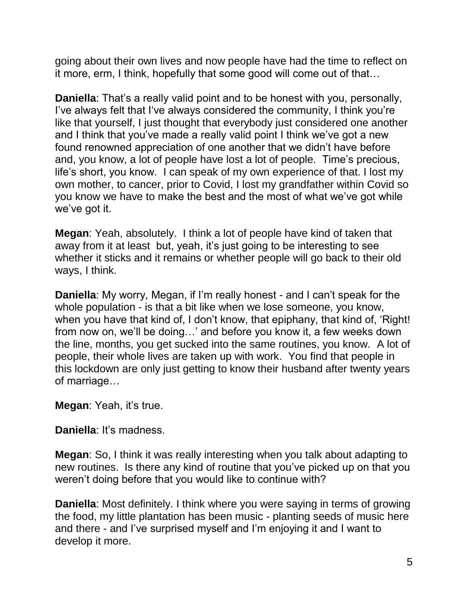going about their own lives and now people have had the time to reflect on it more, erm, I think, hopefully that some good will come out of that…

**Daniella**: That's a really valid point and to be honest with you, personally, I've always felt that I've always considered the community, I think you're like that yourself, I just thought that everybody just considered one another and I think that you've made a really valid point I think we've got a new found renowned appreciation of one another that we didn't have before and, you know, a lot of people have lost a lot of people. Time's precious, life's short, you know. I can speak of my own experience of that. I lost my own mother, to cancer, prior to Covid, I lost my grandfather within Covid so you know we have to make the best and the most of what we've got while we've got it.

**Megan**: Yeah, absolutely. I think a lot of people have kind of taken that away from it at least but, yeah, it's just going to be interesting to see whether it sticks and it remains or whether people will go back to their old ways, I think.

**Daniella**: My worry, Megan, if I'm really honest - and I can't speak for the whole population - is that a bit like when we lose someone, you know, when you have that kind of, I don't know, that epiphany, that kind of, 'Right! from now on, we'll be doing…' and before you know it, a few weeks down the line, months, you get sucked into the same routines, you know. A lot of people, their whole lives are taken up with work. You find that people in this lockdown are only just getting to know their husband after twenty years of marriage…

**Megan**: Yeah, it's true.

**Daniella**: It's madness.

**Megan**: So, I think it was really interesting when you talk about adapting to new routines. Is there any kind of routine that you've picked up on that you weren't doing before that you would like to continue with?

**Daniella**: Most definitely. I think where you were saying in terms of growing the food, my little plantation has been music - planting seeds of music here and there - and I've surprised myself and I'm enjoying it and I want to develop it more.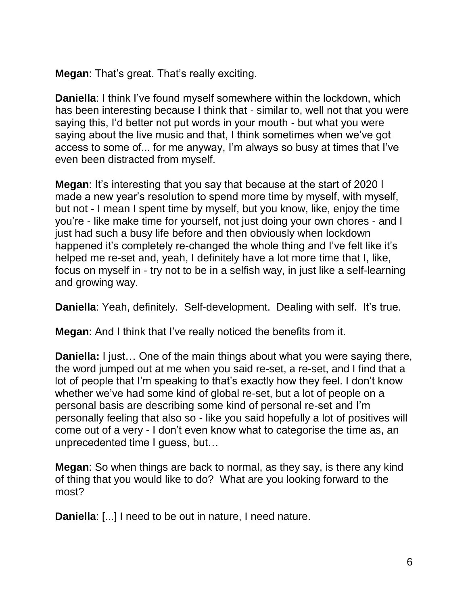**Megan**: That's great. That's really exciting.

**Daniella**: I think I've found myself somewhere within the lockdown, which has been interesting because I think that - similar to, well not that you were saying this, I'd better not put words in your mouth - but what you were saying about the live music and that, I think sometimes when we've got access to some of... for me anyway, I'm always so busy at times that I've even been distracted from myself.

**Megan**: It's interesting that you say that because at the start of 2020 I made a new year's resolution to spend more time by myself, with myself, but not - I mean I spent time by myself, but you know, like, enjoy the time you're - like make time for yourself, not just doing your own chores - and I just had such a busy life before and then obviously when lockdown happened it's completely re-changed the whole thing and I've felt like it's helped me re-set and, yeah, I definitely have a lot more time that I, like, focus on myself in - try not to be in a selfish way, in just like a self-learning and growing way.

**Daniella**: Yeah, definitely. Self-development. Dealing with self. It's true.

**Megan**: And I think that I've really noticed the benefits from it.

**Daniella:** I just... One of the main things about what you were saying there, the word jumped out at me when you said re-set, a re-set, and I find that a lot of people that I'm speaking to that's exactly how they feel. I don't know whether we've had some kind of global re-set, but a lot of people on a personal basis are describing some kind of personal re-set and I'm personally feeling that also so - like you said hopefully a lot of positives will come out of a very - I don't even know what to categorise the time as, an unprecedented time I guess, but…

**Megan**: So when things are back to normal, as they say, is there any kind of thing that you would like to do? What are you looking forward to the most?

**Daniella**: [...] I need to be out in nature, I need nature.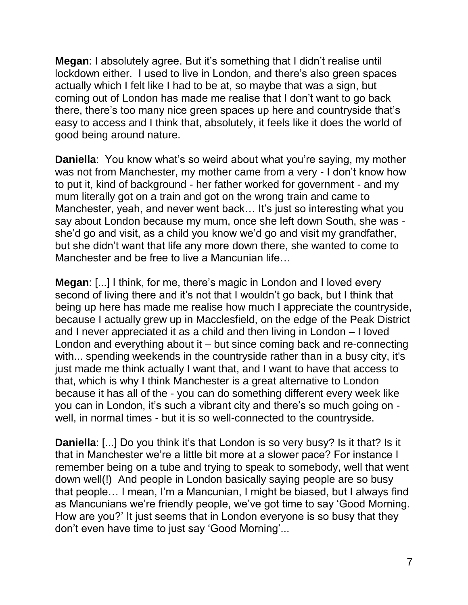**Megan**: I absolutely agree. But it's something that I didn't realise until lockdown either. I used to live in London, and there's also green spaces actually which I felt like I had to be at, so maybe that was a sign, but coming out of London has made me realise that I don't want to go back there, there's too many nice green spaces up here and countryside that's easy to access and I think that, absolutely, it feels like it does the world of good being around nature.

**Daniella**: You know what's so weird about what you're saying, my mother was not from Manchester, my mother came from a very - I don't know how to put it, kind of background - her father worked for government - and my mum literally got on a train and got on the wrong train and came to Manchester, yeah, and never went back… It's just so interesting what you say about London because my mum, once she left down South, she was she'd go and visit, as a child you know we'd go and visit my grandfather, but she didn't want that life any more down there, she wanted to come to Manchester and be free to live a Mancunian life…

**Megan**: [...] I think, for me, there's magic in London and I loved every second of living there and it's not that I wouldn't go back, but I think that being up here has made me realise how much I appreciate the countryside, because I actually grew up in Macclesfield, on the edge of the Peak District and I never appreciated it as a child and then living in London – I loved London and everything about it – but since coming back and re-connecting with... spending weekends in the countryside rather than in a busy city, it's just made me think actually I want that, and I want to have that access to that, which is why I think Manchester is a great alternative to London because it has all of the - you can do something different every week like you can in London, it's such a vibrant city and there's so much going on well, in normal times - but it is so well-connected to the countryside.

**Daniella**: [...] Do you think it's that London is so very busy? Is it that? Is it that in Manchester we're a little bit more at a slower pace? For instance I remember being on a tube and trying to speak to somebody, well that went down well(!) And people in London basically saying people are so busy that people… I mean, I'm a Mancunian, I might be biased, but I always find as Mancunians we're friendly people, we've got time to say 'Good Morning. How are you?' It just seems that in London everyone is so busy that they don't even have time to just say 'Good Morning'...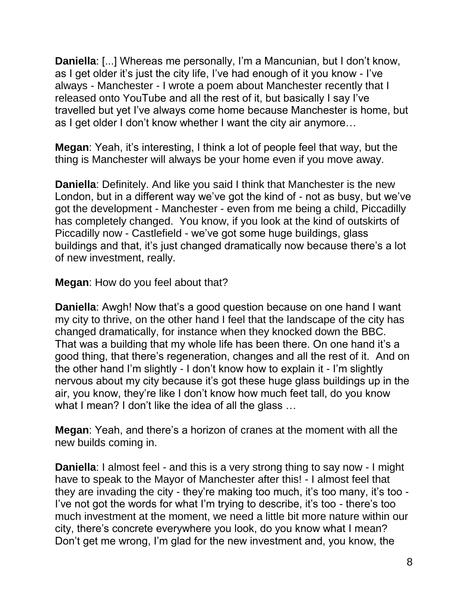**Daniella**: [...] Whereas me personally, I'm a Mancunian, but I don't know, as I get older it's just the city life, I've had enough of it you know - I've always - Manchester - I wrote a poem about Manchester recently that I released onto YouTube and all the rest of it, but basically I say I've travelled but yet I've always come home because Manchester is home, but as I get older I don't know whether I want the city air anymore…

**Megan**: Yeah, it's interesting, I think a lot of people feel that way, but the thing is Manchester will always be your home even if you move away.

**Daniella**: Definitely. And like you said I think that Manchester is the new London, but in a different way we've got the kind of - not as busy, but we've got the development - Manchester - even from me being a child, Piccadilly has completely changed. You know, if you look at the kind of outskirts of Piccadilly now - Castlefield - we've got some huge buildings, glass buildings and that, it's just changed dramatically now because there's a lot of new investment, really.

**Megan**: How do you feel about that?

**Daniella**: Awgh! Now that's a good question because on one hand I want my city to thrive, on the other hand I feel that the landscape of the city has changed dramatically, for instance when they knocked down the BBC. That was a building that my whole life has been there. On one hand it's a good thing, that there's regeneration, changes and all the rest of it. And on the other hand I'm slightly - I don't know how to explain it - I'm slightly nervous about my city because it's got these huge glass buildings up in the air, you know, they're like I don't know how much feet tall, do you know what I mean? I don't like the idea of all the glass ...

**Megan**: Yeah, and there's a horizon of cranes at the moment with all the new builds coming in.

**Daniella**: I almost feel - and this is a very strong thing to say now - I might have to speak to the Mayor of Manchester after this! - I almost feel that they are invading the city - they're making too much, it's too many, it's too - I've not got the words for what I'm trying to describe, it's too - there's too much investment at the moment, we need a little bit more nature within our city, there's concrete everywhere you look, do you know what I mean? Don't get me wrong, I'm glad for the new investment and, you know, the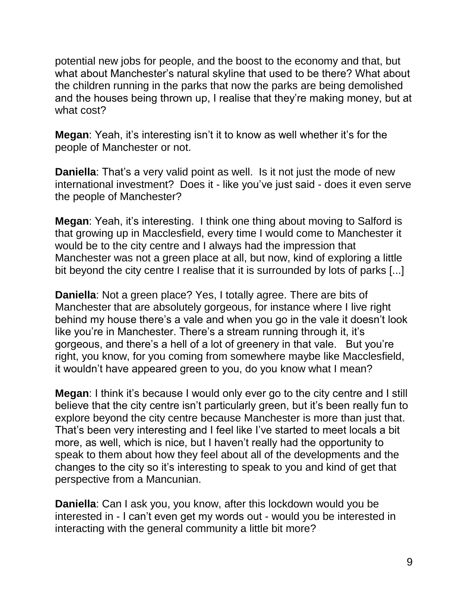potential new jobs for people, and the boost to the economy and that, but what about Manchester's natural skyline that used to be there? What about the children running in the parks that now the parks are being demolished and the houses being thrown up, I realise that they're making money, but at what cost?

**Megan**: Yeah, it's interesting isn't it to know as well whether it's for the people of Manchester or not.

**Daniella**: That's a very valid point as well. Is it not just the mode of new international investment? Does it - like you've just said - does it even serve the people of Manchester?

**Megan**: Yeah, it's interesting. I think one thing about moving to Salford is that growing up in Macclesfield, every time I would come to Manchester it would be to the city centre and I always had the impression that Manchester was not a green place at all, but now, kind of exploring a little bit beyond the city centre I realise that it is surrounded by lots of parks [...]

**Daniella**: Not a green place? Yes, I totally agree. There are bits of Manchester that are absolutely gorgeous, for instance where I live right behind my house there's a vale and when you go in the vale it doesn't look like you're in Manchester. There's a stream running through it, it's gorgeous, and there's a hell of a lot of greenery in that vale. But you're right, you know, for you coming from somewhere maybe like Macclesfield, it wouldn't have appeared green to you, do you know what I mean?

**Megan**: I think it's because I would only ever go to the city centre and I still believe that the city centre isn't particularly green, but it's been really fun to explore beyond the city centre because Manchester is more than just that. That's been very interesting and I feel like I've started to meet locals a bit more, as well, which is nice, but I haven't really had the opportunity to speak to them about how they feel about all of the developments and the changes to the city so it's interesting to speak to you and kind of get that perspective from a Mancunian.

**Daniella**: Can I ask you, you know, after this lockdown would you be interested in - I can't even get my words out - would you be interested in interacting with the general community a little bit more?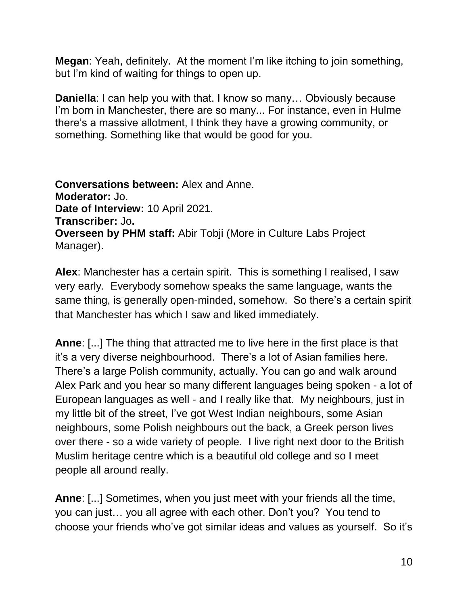**Megan**: Yeah, definitely. At the moment I'm like itching to join something, but I'm kind of waiting for things to open up.

**Daniella**: I can help you with that. I know so many... Obviously because I'm born in Manchester, there are so many... For instance, even in Hulme there's a massive allotment, I think they have a growing community, or something. Something like that would be good for you.

**Conversations between:** Alex and Anne. **Moderator:** Jo. **Date of Interview:** 10 April 2021. **Transcriber:** Jo**. Overseen by PHM staff:** Abir Tobji (More in Culture Labs Project Manager).

**Alex**: Manchester has a certain spirit. This is something I realised, I saw very early. Everybody somehow speaks the same language, wants the same thing, is generally open-minded, somehow. So there's a certain spirit that Manchester has which I saw and liked immediately.

**Anne**: [...] The thing that attracted me to live here in the first place is that it's a very diverse neighbourhood. There's a lot of Asian families here. There's a large Polish community, actually. You can go and walk around Alex Park and you hear so many different languages being spoken - a lot of European languages as well - and I really like that. My neighbours, just in my little bit of the street, I've got West Indian neighbours, some Asian neighbours, some Polish neighbours out the back, a Greek person lives over there - so a wide variety of people. I live right next door to the British Muslim heritage centre which is a beautiful old college and so I meet people all around really.

**Anne**: [...] Sometimes, when you just meet with your friends all the time, you can just… you all agree with each other. Don't you? You tend to choose your friends who've got similar ideas and values as yourself. So it's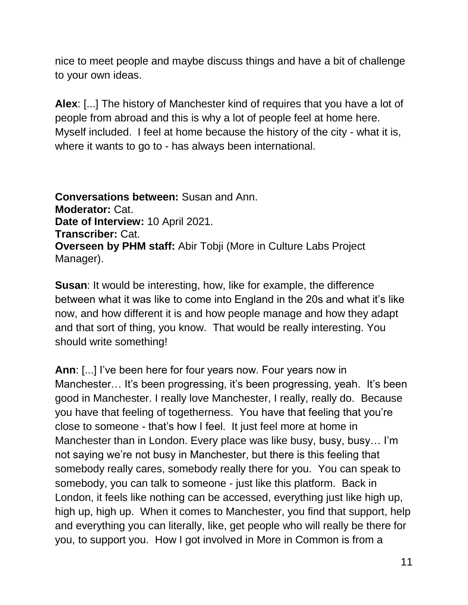nice to meet people and maybe discuss things and have a bit of challenge to your own ideas.

**Alex**: [...] The history of Manchester kind of requires that you have a lot of people from abroad and this is why a lot of people feel at home here. Myself included. I feel at home because the history of the city - what it is, where it wants to go to - has always been international.

**Conversations between:** Susan and Ann. **Moderator:** Cat. **Date of Interview:** 10 April 2021. **Transcriber:** Cat. **Overseen by PHM staff:** Abir Tobji (More in Culture Labs Project Manager).

**Susan**: It would be interesting, how, like for example, the difference between what it was like to come into England in the 20s and what it's like now, and how different it is and how people manage and how they adapt and that sort of thing, you know. That would be really interesting. You should write something!

**Ann**: [...] I've been here for four years now. Four years now in Manchester… It's been progressing, it's been progressing, yeah. It's been good in Manchester. I really love Manchester, I really, really do. Because you have that feeling of togetherness. You have that feeling that you're close to someone - that's how I feel. It just feel more at home in Manchester than in London. Every place was like busy, busy, busy… I'm not saying we're not busy in Manchester, but there is this feeling that somebody really cares, somebody really there for you. You can speak to somebody, you can talk to someone - just like this platform. Back in London, it feels like nothing can be accessed, everything just like high up, high up, high up. When it comes to Manchester, you find that support, help and everything you can literally, like, get people who will really be there for you, to support you. How I got involved in More in Common is from a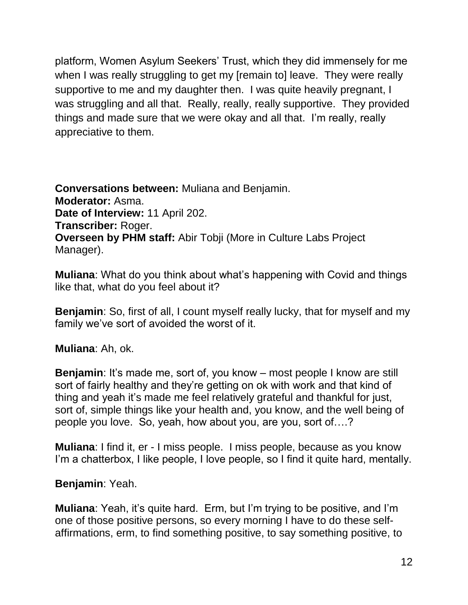platform, Women Asylum Seekers' Trust, which they did immensely for me when I was really struggling to get my [remain to] leave. They were really supportive to me and my daughter then. I was quite heavily pregnant, I was struggling and all that. Really, really, really supportive. They provided things and made sure that we were okay and all that. I'm really, really appreciative to them.

**Conversations between:** Muliana and Benjamin. **Moderator:** Asma. **Date of Interview:** 11 April 202. **Transcriber:** Roger. **Overseen by PHM staff:** Abir Tobji (More in Culture Labs Project Manager).

**Muliana**: What do you think about what's happening with Covid and things like that, what do you feel about it?

**Benjamin**: So, first of all, I count myself really lucky, that for myself and my family we've sort of avoided the worst of it.

**Muliana**: Ah, ok.

**Benjamin**: It's made me, sort of, you know – most people I know are still sort of fairly healthy and they're getting on ok with work and that kind of thing and yeah it's made me feel relatively grateful and thankful for just, sort of, simple things like your health and, you know, and the well being of people you love. So, yeah, how about you, are you, sort of….?

**Muliana**: I find it, er - I miss people. I miss people, because as you know I'm a chatterbox, I like people, I love people, so I find it quite hard, mentally.

## **Benjamin**: Yeah.

**Muliana**: Yeah, it's quite hard. Erm, but I'm trying to be positive, and I'm one of those positive persons, so every morning I have to do these selfaffirmations, erm, to find something positive, to say something positive, to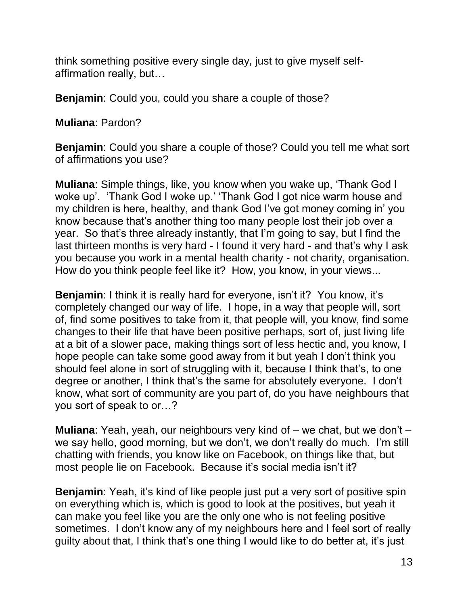think something positive every single day, just to give myself selfaffirmation really, but…

**Benjamin**: Could you, could you share a couple of those?

**Muliana**: Pardon?

**Benjamin**: Could you share a couple of those? Could you tell me what sort of affirmations you use?

**Muliana**: Simple things, like, you know when you wake up, 'Thank God I woke up'. 'Thank God I woke up.' 'Thank God I got nice warm house and my children is here, healthy, and thank God I've got money coming in' you know because that's another thing too many people lost their job over a year. So that's three already instantly, that I'm going to say, but I find the last thirteen months is very hard - I found it very hard - and that's why I ask you because you work in a mental health charity - not charity, organisation. How do you think people feel like it? How, you know, in your views...

**Benjamin**: I think it is really hard for everyone, isn't it? You know, it's completely changed our way of life. I hope, in a way that people will, sort of, find some positives to take from it, that people will, you know, find some changes to their life that have been positive perhaps, sort of, just living life at a bit of a slower pace, making things sort of less hectic and, you know, I hope people can take some good away from it but yeah I don't think you should feel alone in sort of struggling with it, because I think that's, to one degree or another, I think that's the same for absolutely everyone. I don't know, what sort of community are you part of, do you have neighbours that you sort of speak to or…?

**Muliana**: Yeah, yeah, our neighbours very kind of – we chat, but we don't – we say hello, good morning, but we don't, we don't really do much. I'm still chatting with friends, you know like on Facebook, on things like that, but most people lie on Facebook. Because it's social media isn't it?

**Benjamin**: Yeah, it's kind of like people just put a very sort of positive spin on everything which is, which is good to look at the positives, but yeah it can make you feel like you are the only one who is not feeling positive sometimes. I don't know any of my neighbours here and I feel sort of really guilty about that, I think that's one thing I would like to do better at, it's just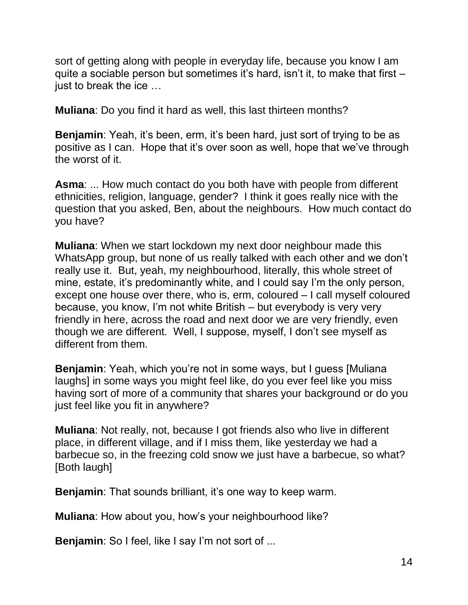sort of getting along with people in everyday life, because you know I am quite a sociable person but sometimes it's hard, isn't it, to make that first – just to break the ice …

**Muliana**: Do you find it hard as well, this last thirteen months?

**Benjamin**: Yeah, it's been, erm, it's been hard, just sort of trying to be as positive as I can. Hope that it's over soon as well, hope that we've through the worst of it.

**Asma**: ... How much contact do you both have with people from different ethnicities, religion, language, gender? I think it goes really nice with the question that you asked, Ben, about the neighbours. How much contact do you have?

**Muliana**: When we start lockdown my next door neighbour made this WhatsApp group, but none of us really talked with each other and we don't really use it. But, yeah, my neighbourhood, literally, this whole street of mine, estate, it's predominantly white, and I could say I'm the only person, except one house over there, who is, erm, coloured – I call myself coloured because, you know, I'm not white British – but everybody is very very friendly in here, across the road and next door we are very friendly, even though we are different. Well, I suppose, myself, I don't see myself as different from them.

**Benjamin**: Yeah, which you're not in some ways, but I quess [Muliana] laughs] in some ways you might feel like, do you ever feel like you miss having sort of more of a community that shares your background or do you just feel like you fit in anywhere?

**Muliana**: Not really, not, because I got friends also who live in different place, in different village, and if I miss them, like yesterday we had a barbecue so, in the freezing cold snow we just have a barbecue, so what? [Both laugh]

**Benjamin**: That sounds brilliant, it's one way to keep warm.

**Muliana**: How about you, how's your neighbourhood like?

**Benjamin**: So I feel, like I say I'm not sort of ...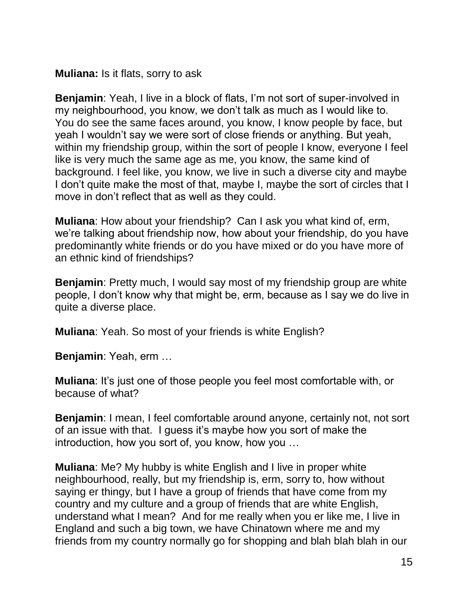**Muliana:** Is it flats, sorry to ask

**Benjamin**: Yeah, I live in a block of flats, I'm not sort of super-involved in my neighbourhood, you know, we don't talk as much as I would like to. You do see the same faces around, you know, I know people by face, but yeah I wouldn't say we were sort of close friends or anything. But yeah, within my friendship group, within the sort of people I know, everyone I feel like is very much the same age as me, you know, the same kind of background. I feel like, you know, we live in such a diverse city and maybe I don't quite make the most of that, maybe I, maybe the sort of circles that I move in don't reflect that as well as they could.

**Muliana**: How about your friendship? Can I ask you what kind of, erm, we're talking about friendship now, how about your friendship, do you have predominantly white friends or do you have mixed or do you have more of an ethnic kind of friendships?

**Benjamin**: Pretty much, I would say most of my friendship group are white people, I don't know why that might be, erm, because as I say we do live in quite a diverse place.

**Muliana**: Yeah. So most of your friends is white English?

**Benjamin**: Yeah, erm …

**Muliana**: It's just one of those people you feel most comfortable with, or because of what?

**Benjamin**: I mean, I feel comfortable around anyone, certainly not, not sort of an issue with that. I guess it's maybe how you sort of make the introduction, how you sort of, you know, how you …

**Muliana**: Me? My hubby is white English and I live in proper white neighbourhood, really, but my friendship is, erm, sorry to, how without saying er thingy, but I have a group of friends that have come from my country and my culture and a group of friends that are white English, understand what I mean? And for me really when you er like me, I live in England and such a big town, we have Chinatown where me and my friends from my country normally go for shopping and blah blah blah in our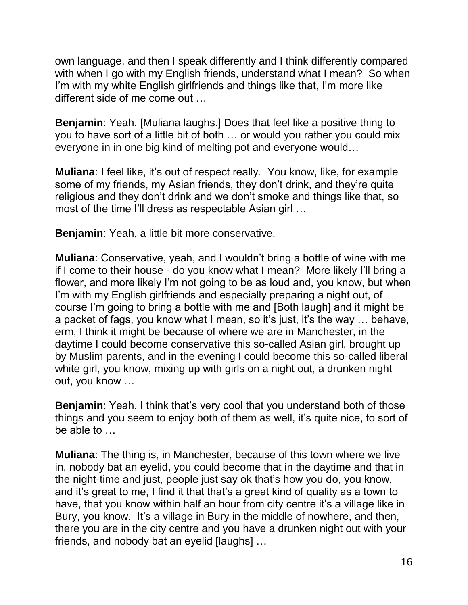own language, and then I speak differently and I think differently compared with when I go with my English friends, understand what I mean? So when I'm with my white English girlfriends and things like that, I'm more like different side of me come out …

**Benjamin**: Yeah. [Muliana laughs.] Does that feel like a positive thing to you to have sort of a little bit of both … or would you rather you could mix everyone in in one big kind of melting pot and everyone would…

**Muliana**: I feel like, it's out of respect really. You know, like, for example some of my friends, my Asian friends, they don't drink, and they're quite religious and they don't drink and we don't smoke and things like that, so most of the time I'll dress as respectable Asian girl …

**Benjamin**: Yeah, a little bit more conservative.

**Muliana**: Conservative, yeah, and I wouldn't bring a bottle of wine with me if I come to their house - do you know what I mean? More likely I'll bring a flower, and more likely I'm not going to be as loud and, you know, but when I'm with my English girlfriends and especially preparing a night out, of course I'm going to bring a bottle with me and [Both laugh] and it might be a packet of fags, you know what I mean, so it's just, it's the way … behave, erm, I think it might be because of where we are in Manchester, in the daytime I could become conservative this so-called Asian girl, brought up by Muslim parents, and in the evening I could become this so-called liberal white girl, you know, mixing up with girls on a night out, a drunken night out, you know …

**Benjamin:** Yeah. I think that's very cool that you understand both of those things and you seem to enjoy both of them as well, it's quite nice, to sort of be able to …

**Muliana**: The thing is, in Manchester, because of this town where we live in, nobody bat an eyelid, you could become that in the daytime and that in the night-time and just, people just say ok that's how you do, you know, and it's great to me, I find it that that's a great kind of quality as a town to have, that you know within half an hour from city centre it's a village like in Bury, you know. It's a village in Bury in the middle of nowhere, and then, there you are in the city centre and you have a drunken night out with your friends, and nobody bat an eyelid [laughs] …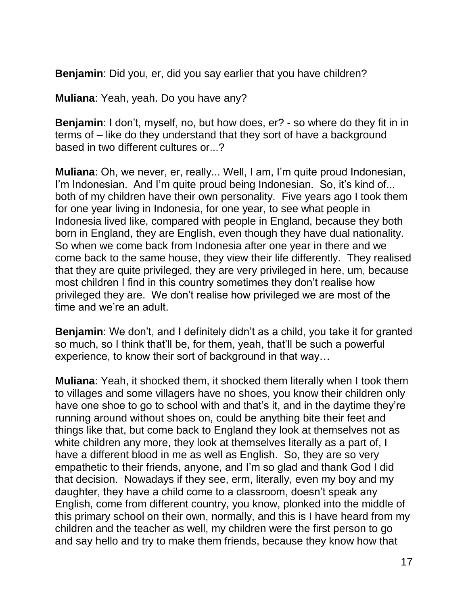**Benjamin**: Did you, er, did you say earlier that you have children?

**Muliana**: Yeah, yeah. Do you have any?

**Benjamin**: I don't, myself, no, but how does, er? - so where do they fit in in terms of – like do they understand that they sort of have a background based in two different cultures or...?

**Muliana**: Oh, we never, er, really... Well, I am, I'm quite proud Indonesian, I'm Indonesian. And I'm quite proud being Indonesian. So, it's kind of... both of my children have their own personality. Five years ago I took them for one year living in Indonesia, for one year, to see what people in Indonesia lived like, compared with people in England, because they both born in England, they are English, even though they have dual nationality. So when we come back from Indonesia after one year in there and we come back to the same house, they view their life differently. They realised that they are quite privileged, they are very privileged in here, um, because most children I find in this country sometimes they don't realise how privileged they are. We don't realise how privileged we are most of the time and we're an adult.

**Benjamin**: We don't, and I definitely didn't as a child, you take it for granted so much, so I think that'll be, for them, yeah, that'll be such a powerful experience, to know their sort of background in that way…

**Muliana**: Yeah, it shocked them, it shocked them literally when I took them to villages and some villagers have no shoes, you know their children only have one shoe to go to school with and that's it, and in the daytime they're running around without shoes on, could be anything bite their feet and things like that, but come back to England they look at themselves not as white children any more, they look at themselves literally as a part of, I have a different blood in me as well as English. So, they are so very empathetic to their friends, anyone, and I'm so glad and thank God I did that decision. Nowadays if they see, erm, literally, even my boy and my daughter, they have a child come to a classroom, doesn't speak any English, come from different country, you know, plonked into the middle of this primary school on their own, normally, and this is I have heard from my children and the teacher as well, my children were the first person to go and say hello and try to make them friends, because they know how that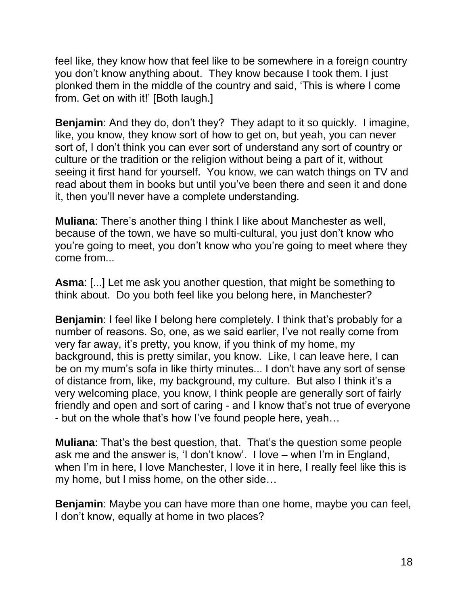feel like, they know how that feel like to be somewhere in a foreign country you don't know anything about. They know because I took them. I just plonked them in the middle of the country and said, 'This is where I come from. Get on with it!' [Both laugh.]

**Benjamin**: And they do, don't they? They adapt to it so quickly. I imagine, like, you know, they know sort of how to get on, but yeah, you can never sort of, I don't think you can ever sort of understand any sort of country or culture or the tradition or the religion without being a part of it, without seeing it first hand for yourself. You know, we can watch things on TV and read about them in books but until you've been there and seen it and done it, then you'll never have a complete understanding.

**Muliana**: There's another thing I think I like about Manchester as well, because of the town, we have so multi-cultural, you just don't know who you're going to meet, you don't know who you're going to meet where they come from...

**Asma**: [...] Let me ask you another question, that might be something to think about. Do you both feel like you belong here, in Manchester?

**Benjamin**: I feel like I belong here completely. I think that's probably for a number of reasons. So, one, as we said earlier, I've not really come from very far away, it's pretty, you know, if you think of my home, my background, this is pretty similar, you know. Like, I can leave here, I can be on my mum's sofa in like thirty minutes... I don't have any sort of sense of distance from, like, my background, my culture. But also I think it's a very welcoming place, you know, I think people are generally sort of fairly friendly and open and sort of caring - and I know that's not true of everyone - but on the whole that's how I've found people here, yeah…

**Muliana**: That's the best question, that. That's the question some people ask me and the answer is, 'I don't know'. I love – when I'm in England, when I'm in here, I love Manchester, I love it in here, I really feel like this is my home, but I miss home, on the other side…

**Benjamin**: Maybe you can have more than one home, maybe you can feel, I don't know, equally at home in two places?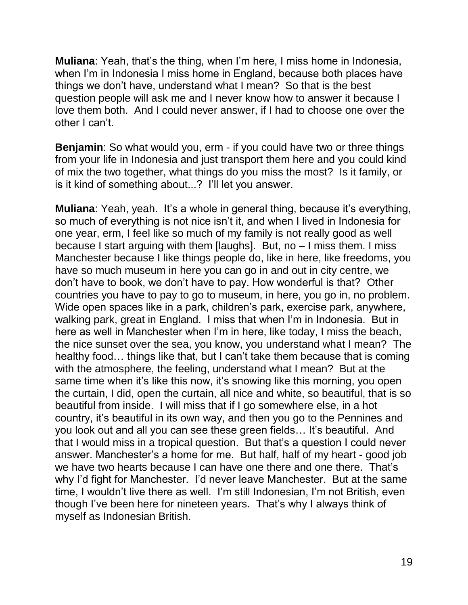**Muliana**: Yeah, that's the thing, when I'm here, I miss home in Indonesia, when I'm in Indonesia I miss home in England, because both places have things we don't have, understand what I mean? So that is the best question people will ask me and I never know how to answer it because I love them both. And I could never answer, if I had to choose one over the other I can't.

**Benjamin**: So what would you, erm - if you could have two or three things from your life in Indonesia and just transport them here and you could kind of mix the two together, what things do you miss the most? Is it family, or is it kind of something about...? I'll let you answer.

**Muliana**: Yeah, yeah. It's a whole in general thing, because it's everything, so much of everything is not nice isn't it, and when I lived in Indonesia for one year, erm, I feel like so much of my family is not really good as well because I start arguing with them [laughs]. But, no – I miss them. I miss Manchester because I like things people do, like in here, like freedoms, you have so much museum in here you can go in and out in city centre, we don't have to book, we don't have to pay. How wonderful is that? Other countries you have to pay to go to museum, in here, you go in, no problem. Wide open spaces like in a park, children's park, exercise park, anywhere, walking park, great in England. I miss that when I'm in Indonesia. But in here as well in Manchester when I'm in here, like today, I miss the beach, the nice sunset over the sea, you know, you understand what I mean? The healthy food… things like that, but I can't take them because that is coming with the atmosphere, the feeling, understand what I mean? But at the same time when it's like this now, it's snowing like this morning, you open the curtain, I did, open the curtain, all nice and white, so beautiful, that is so beautiful from inside. I will miss that if I go somewhere else, in a hot country, it's beautiful in its own way, and then you go to the Pennines and you look out and all you can see these green fields… It's beautiful. And that I would miss in a tropical question. But that's a question I could never answer. Manchester's a home for me. But half, half of my heart - good job we have two hearts because I can have one there and one there. That's why I'd fight for Manchester. I'd never leave Manchester. But at the same time, I wouldn't live there as well. I'm still Indonesian, I'm not British, even though I've been here for nineteen years. That's why I always think of myself as Indonesian British.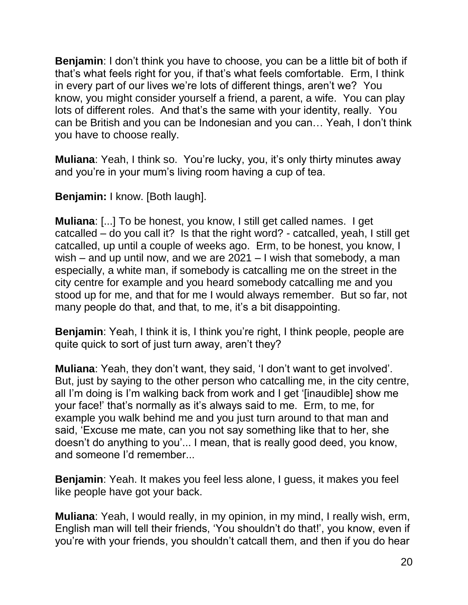**Benjamin**: I don't think you have to choose, you can be a little bit of both if that's what feels right for you, if that's what feels comfortable. Erm, I think in every part of our lives we're lots of different things, aren't we? You know, you might consider yourself a friend, a parent, a wife. You can play lots of different roles. And that's the same with your identity, really. You can be British and you can be Indonesian and you can… Yeah, I don't think you have to choose really.

**Muliana**: Yeah, I think so. You're lucky, you, it's only thirty minutes away and you're in your mum's living room having a cup of tea.

**Benjamin:** I know. [Both laugh].

**Muliana**: [...] To be honest, you know, I still get called names. I get catcalled – do you call it? Is that the right word? - catcalled, yeah, I still get catcalled, up until a couple of weeks ago. Erm, to be honest, you know, I wish – and up until now, and we are 2021 – I wish that somebody, a man especially, a white man, if somebody is catcalling me on the street in the city centre for example and you heard somebody catcalling me and you stood up for me, and that for me I would always remember. But so far, not many people do that, and that, to me, it's a bit disappointing.

**Benjamin**: Yeah, I think it is, I think you're right, I think people, people are quite quick to sort of just turn away, aren't they?

**Muliana**: Yeah, they don't want, they said, 'I don't want to get involved'. But, just by saying to the other person who catcalling me, in the city centre, all I'm doing is I'm walking back from work and I get '[inaudible] show me your face!' that's normally as it's always said to me. Erm, to me, for example you walk behind me and you just turn around to that man and said, 'Excuse me mate, can you not say something like that to her, she doesn't do anything to you'... I mean, that is really good deed, you know, and someone I'd remember...

**Benjamin**: Yeah. It makes you feel less alone, I guess, it makes you feel like people have got your back.

**Muliana**: Yeah, I would really, in my opinion, in my mind, I really wish, erm, English man will tell their friends, 'You shouldn't do that!', you know, even if you're with your friends, you shouldn't catcall them, and then if you do hear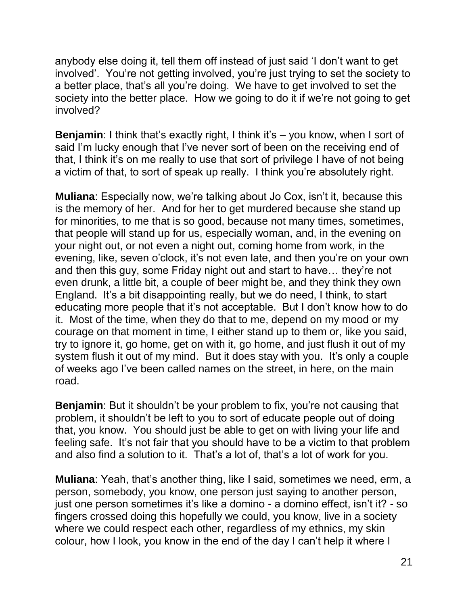anybody else doing it, tell them off instead of just said 'I don't want to get involved'. You're not getting involved, you're just trying to set the society to a better place, that's all you're doing. We have to get involved to set the society into the better place. How we going to do it if we're not going to get involved?

**Benjamin**: I think that's exactly right, I think it's – you know, when I sort of said I'm lucky enough that I've never sort of been on the receiving end of that, I think it's on me really to use that sort of privilege I have of not being a victim of that, to sort of speak up really. I think you're absolutely right.

**Muliana**: Especially now, we're talking about Jo Cox, isn't it, because this is the memory of her. And for her to get murdered because she stand up for minorities, to me that is so good, because not many times, sometimes, that people will stand up for us, especially woman, and, in the evening on your night out, or not even a night out, coming home from work, in the evening, like, seven o'clock, it's not even late, and then you're on your own and then this guy, some Friday night out and start to have… they're not even drunk, a little bit, a couple of beer might be, and they think they own England. It's a bit disappointing really, but we do need, I think, to start educating more people that it's not acceptable. But I don't know how to do it. Most of the time, when they do that to me, depend on my mood or my courage on that moment in time, I either stand up to them or, like you said, try to ignore it, go home, get on with it, go home, and just flush it out of my system flush it out of my mind. But it does stay with you. It's only a couple of weeks ago I've been called names on the street, in here, on the main road.

**Benjamin:** But it shouldn't be your problem to fix, you're not causing that problem, it shouldn't be left to you to sort of educate people out of doing that, you know. You should just be able to get on with living your life and feeling safe. It's not fair that you should have to be a victim to that problem and also find a solution to it. That's a lot of, that's a lot of work for you.

**Muliana**: Yeah, that's another thing, like I said, sometimes we need, erm, a person, somebody, you know, one person just saying to another person, just one person sometimes it's like a domino - a domino effect, isn't it? - so fingers crossed doing this hopefully we could, you know, live in a society where we could respect each other, regardless of my ethnics, my skin colour, how I look, you know in the end of the day I can't help it where I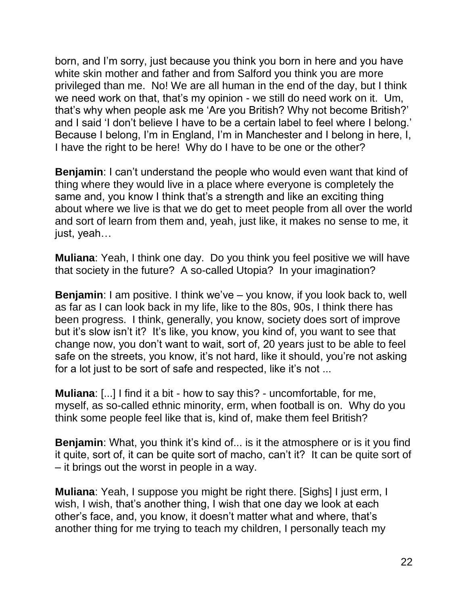born, and I'm sorry, just because you think you born in here and you have white skin mother and father and from Salford you think you are more privileged than me. No! We are all human in the end of the day, but I think we need work on that, that's my opinion - we still do need work on it. Um, that's why when people ask me 'Are you British? Why not become British?' and I said 'I don't believe I have to be a certain label to feel where I belong.' Because I belong, I'm in England, I'm in Manchester and I belong in here, I, I have the right to be here! Why do I have to be one or the other?

**Benjamin**: I can't understand the people who would even want that kind of thing where they would live in a place where everyone is completely the same and, you know I think that's a strength and like an exciting thing about where we live is that we do get to meet people from all over the world and sort of learn from them and, yeah, just like, it makes no sense to me, it just, yeah…

**Muliana**: Yeah, I think one day. Do you think you feel positive we will have that society in the future? A so-called Utopia? In your imagination?

**Benjamin**: I am positive. I think we've – you know, if you look back to, well as far as I can look back in my life, like to the 80s, 90s, I think there has been progress. I think, generally, you know, society does sort of improve but it's slow isn't it? It's like, you know, you kind of, you want to see that change now, you don't want to wait, sort of, 20 years just to be able to feel safe on the streets, you know, it's not hard, like it should, you're not asking for a lot just to be sort of safe and respected, like it's not ...

**Muliana**: [...] I find it a bit - how to say this? - uncomfortable, for me, myself, as so-called ethnic minority, erm, when football is on. Why do you think some people feel like that is, kind of, make them feel British?

**Benjamin**: What, you think it's kind of... is it the atmosphere or is it you find it quite, sort of, it can be quite sort of macho, can't it? It can be quite sort of – it brings out the worst in people in a way.

**Muliana**: Yeah, I suppose you might be right there. [Sighs] I just erm, I wish, I wish, that's another thing, I wish that one day we look at each other's face, and, you know, it doesn't matter what and where, that's another thing for me trying to teach my children, I personally teach my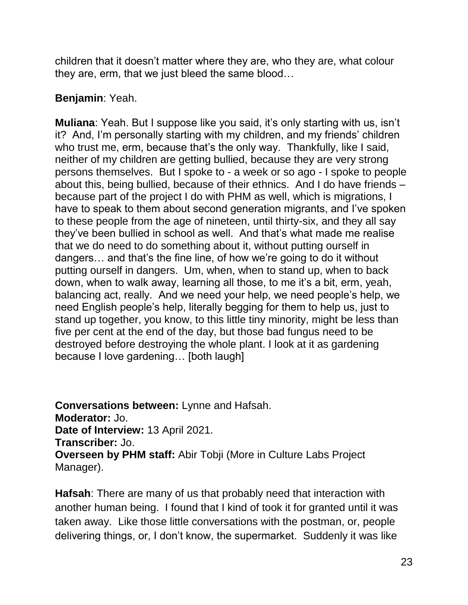children that it doesn't matter where they are, who they are, what colour they are, erm, that we just bleed the same blood…

## **Benjamin**: Yeah.

**Muliana**: Yeah. But I suppose like you said, it's only starting with us, isn't it? And, I'm personally starting with my children, and my friends' children who trust me, erm, because that's the only way. Thankfully, like I said, neither of my children are getting bullied, because they are very strong persons themselves. But I spoke to - a week or so ago - I spoke to people about this, being bullied, because of their ethnics. And I do have friends – because part of the project I do with PHM as well, which is migrations, I have to speak to them about second generation migrants, and I've spoken to these people from the age of nineteen, until thirty-six, and they all say they've been bullied in school as well. And that's what made me realise that we do need to do something about it, without putting ourself in dangers… and that's the fine line, of how we're going to do it without putting ourself in dangers. Um, when, when to stand up, when to back down, when to walk away, learning all those, to me it's a bit, erm, yeah, balancing act, really. And we need your help, we need people's help, we need English people's help, literally begging for them to help us, just to stand up together, you know, to this little tiny minority, might be less than five per cent at the end of the day, but those bad fungus need to be destroyed before destroying the whole plant. I look at it as gardening because I love gardening… [both laugh]

**Conversations between:** Lynne and Hafsah. **Moderator:** Jo. **Date of Interview:** 13 April 2021. **Transcriber:** Jo. **Overseen by PHM staff:** Abir Tobji (More in Culture Labs Project Manager).

**Hafsah**: There are many of us that probably need that interaction with another human being. I found that I kind of took it for granted until it was taken away. Like those little conversations with the postman, or, people delivering things, or, I don't know, the supermarket. Suddenly it was like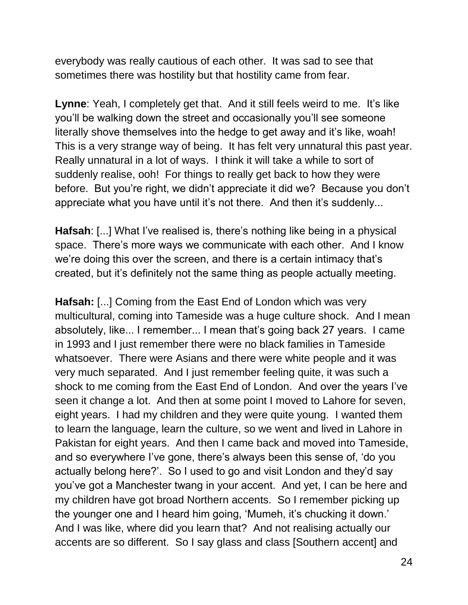everybody was really cautious of each other. It was sad to see that sometimes there was hostility but that hostility came from fear.

**Lynne**: Yeah, I completely get that. And it still feels weird to me. It's like you'll be walking down the street and occasionally you'll see someone literally shove themselves into the hedge to get away and it's like, woah! This is a very strange way of being. It has felt very unnatural this past year. Really unnatural in a lot of ways. I think it will take a while to sort of suddenly realise, ooh! For things to really get back to how they were before. But you're right, we didn't appreciate it did we? Because you don't appreciate what you have until it's not there. And then it's suddenly...

**Hafsah**: [...] What I've realised is, there's nothing like being in a physical space. There's more ways we communicate with each other. And I know we're doing this over the screen, and there is a certain intimacy that's created, but it's definitely not the same thing as people actually meeting.

**Hafsah:** [...] Coming from the East End of London which was very multicultural, coming into Tameside was a huge culture shock. And I mean absolutely, like... I remember... I mean that's going back 27 years. I came in 1993 and I just remember there were no black families in Tameside whatsoever. There were Asians and there were white people and it was very much separated. And I just remember feeling quite, it was such a shock to me coming from the East End of London. And over the years I've seen it change a lot. And then at some point I moved to Lahore for seven, eight years. I had my children and they were quite young. I wanted them to learn the language, learn the culture, so we went and lived in Lahore in Pakistan for eight years. And then I came back and moved into Tameside, and so everywhere I've gone, there's always been this sense of, 'do you actually belong here?'. So I used to go and visit London and they'd say you've got a Manchester twang in your accent. And yet, I can be here and my children have got broad Northern accents. So I remember picking up the younger one and I heard him going, 'Mumeh, it's chucking it down.' And I was like, where did you learn that? And not realising actually our accents are so different. So I say glass and class [Southern accent] and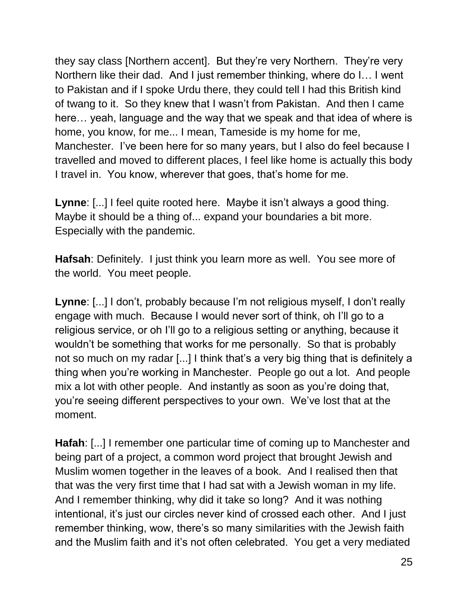they say class [Northern accent]. But they're very Northern. They're very Northern like their dad. And I just remember thinking, where do I… I went to Pakistan and if I spoke Urdu there, they could tell I had this British kind of twang to it. So they knew that I wasn't from Pakistan. And then I came here… yeah, language and the way that we speak and that idea of where is home, you know, for me... I mean, Tameside is my home for me, Manchester. I've been here for so many years, but I also do feel because I travelled and moved to different places, I feel like home is actually this body I travel in. You know, wherever that goes, that's home for me.

**Lynne**: [...] I feel quite rooted here. Maybe it isn't always a good thing. Maybe it should be a thing of... expand your boundaries a bit more. Especially with the pandemic.

**Hafsah**: Definitely. I just think you learn more as well. You see more of the world. You meet people.

**Lynne**: [...] I don't, probably because I'm not religious myself, I don't really engage with much. Because I would never sort of think, oh I'll go to a religious service, or oh I'll go to a religious setting or anything, because it wouldn't be something that works for me personally. So that is probably not so much on my radar [...] I think that's a very big thing that is definitely a thing when you're working in Manchester. People go out a lot. And people mix a lot with other people. And instantly as soon as you're doing that, you're seeing different perspectives to your own. We've lost that at the moment.

**Hafah**: [...] I remember one particular time of coming up to Manchester and being part of a project, a common word project that brought Jewish and Muslim women together in the leaves of a book. And I realised then that that was the very first time that I had sat with a Jewish woman in my life. And I remember thinking, why did it take so long? And it was nothing intentional, it's just our circles never kind of crossed each other. And I just remember thinking, wow, there's so many similarities with the Jewish faith and the Muslim faith and it's not often celebrated. You get a very mediated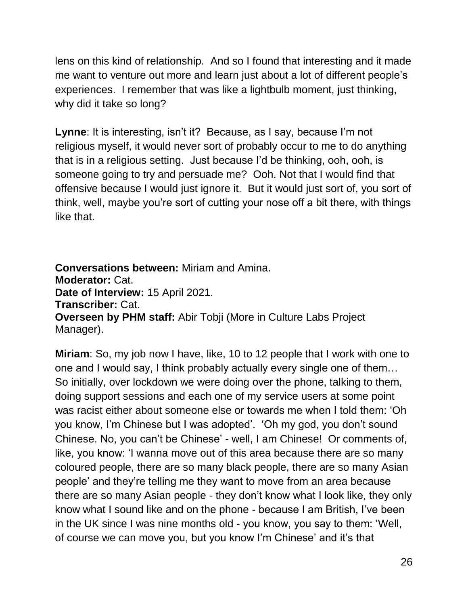lens on this kind of relationship. And so I found that interesting and it made me want to venture out more and learn just about a lot of different people's experiences. I remember that was like a lightbulb moment, just thinking, why did it take so long?

**Lynne**: It is interesting, isn't it? Because, as I say, because I'm not religious myself, it would never sort of probably occur to me to do anything that is in a religious setting. Just because I'd be thinking, ooh, ooh, is someone going to try and persuade me? Ooh. Not that I would find that offensive because I would just ignore it. But it would just sort of, you sort of think, well, maybe you're sort of cutting your nose off a bit there, with things like that.

**Conversations between:** Miriam and Amina. **Moderator:** Cat. **Date of Interview:** 15 April 2021. **Transcriber:** Cat. **Overseen by PHM staff:** Abir Tobji (More in Culture Labs Project Manager).

**Miriam**: So, my job now I have, like, 10 to 12 people that I work with one to one and I would say, I think probably actually every single one of them… So initially, over lockdown we were doing over the phone, talking to them, doing support sessions and each one of my service users at some point was racist either about someone else or towards me when I told them: 'Oh you know, I'm Chinese but I was adopted'. 'Oh my god, you don't sound Chinese. No, you can't be Chinese' - well, I am Chinese! Or comments of, like, you know: 'I wanna move out of this area because there are so many coloured people, there are so many black people, there are so many Asian people' and they're telling me they want to move from an area because there are so many Asian people - they don't know what I look like, they only know what I sound like and on the phone - because I am British, I've been in the UK since I was nine months old - you know, you say to them: 'Well, of course we can move you, but you know I'm Chinese' and it's that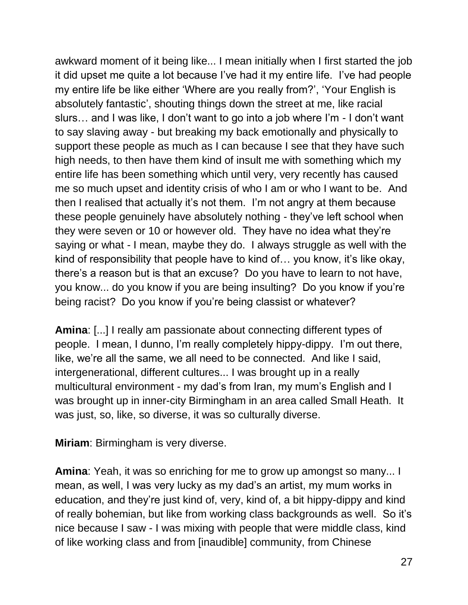awkward moment of it being like... I mean initially when I first started the job it did upset me quite a lot because I've had it my entire life. I've had people my entire life be like either 'Where are you really from?', 'Your English is absolutely fantastic', shouting things down the street at me, like racial slurs… and I was like, I don't want to go into a job where I'm - I don't want to say slaving away - but breaking my back emotionally and physically to support these people as much as I can because I see that they have such high needs, to then have them kind of insult me with something which my entire life has been something which until very, very recently has caused me so much upset and identity crisis of who I am or who I want to be. And then I realised that actually it's not them. I'm not angry at them because these people genuinely have absolutely nothing - they've left school when they were seven or 10 or however old. They have no idea what they're saying or what - I mean, maybe they do. I always struggle as well with the kind of responsibility that people have to kind of… you know, it's like okay, there's a reason but is that an excuse? Do you have to learn to not have, you know... do you know if you are being insulting? Do you know if you're being racist? Do you know if you're being classist or whatever?

**Amina**: [...] I really am passionate about connecting different types of people. I mean, I dunno, I'm really completely hippy-dippy. I'm out there, like, we're all the same, we all need to be connected. And like I said, intergenerational, different cultures... I was brought up in a really multicultural environment - my dad's from Iran, my mum's English and I was brought up in inner-city Birmingham in an area called Small Heath. It was just, so, like, so diverse, it was so culturally diverse.

**Miriam**: Birmingham is very diverse.

**Amina**: Yeah, it was so enriching for me to grow up amongst so many... I mean, as well, I was very lucky as my dad's an artist, my mum works in education, and they're just kind of, very, kind of, a bit hippy-dippy and kind of really bohemian, but like from working class backgrounds as well. So it's nice because I saw - I was mixing with people that were middle class, kind of like working class and from [inaudible] community, from Chinese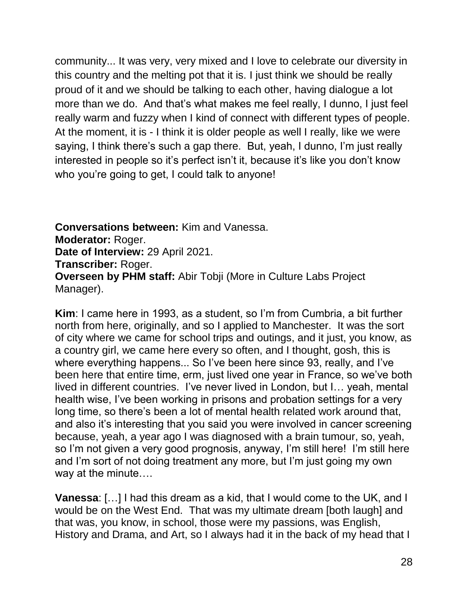community... It was very, very mixed and I love to celebrate our diversity in this country and the melting pot that it is. I just think we should be really proud of it and we should be talking to each other, having dialogue a lot more than we do. And that's what makes me feel really, I dunno, I just feel really warm and fuzzy when I kind of connect with different types of people. At the moment, it is - I think it is older people as well I really, like we were saying, I think there's such a gap there. But, yeah, I dunno, I'm just really interested in people so it's perfect isn't it, because it's like you don't know who you're going to get, I could talk to anyone!

**Conversations between:** Kim and Vanessa. **Moderator:** Roger. **Date of Interview:** 29 April 2021. **Transcriber:** Roger. **Overseen by PHM staff:** Abir Tobji (More in Culture Labs Project Manager).

**Kim**: I came here in 1993, as a student, so I'm from Cumbria, a bit further north from here, originally, and so I applied to Manchester. It was the sort of city where we came for school trips and outings, and it just, you know, as a country girl, we came here every so often, and I thought, gosh, this is where everything happens... So I've been here since 93, really, and I've been here that entire time, erm, just lived one year in France, so we've both lived in different countries. I've never lived in London, but I… yeah, mental health wise, I've been working in prisons and probation settings for a very long time, so there's been a lot of mental health related work around that, and also it's interesting that you said you were involved in cancer screening because, yeah, a year ago I was diagnosed with a brain tumour, so, yeah, so I'm not given a very good prognosis, anyway, I'm still here! I'm still here and I'm sort of not doing treatment any more, but I'm just going my own way at the minute….

**Vanessa**: […] I had this dream as a kid, that I would come to the UK, and I would be on the West End. That was my ultimate dream [both laugh] and that was, you know, in school, those were my passions, was English, History and Drama, and Art, so I always had it in the back of my head that I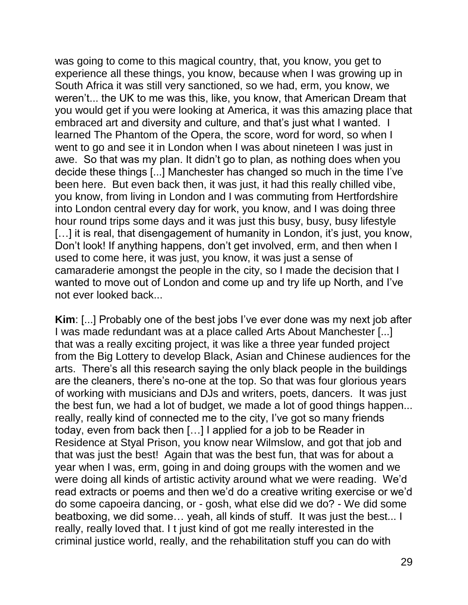was going to come to this magical country, that, you know, you get to experience all these things, you know, because when I was growing up in South Africa it was still very sanctioned, so we had, erm, you know, we weren't... the UK to me was this, like, you know, that American Dream that you would get if you were looking at America, it was this amazing place that embraced art and diversity and culture, and that's just what I wanted. I learned The Phantom of the Opera, the score, word for word, so when I went to go and see it in London when I was about nineteen I was just in awe. So that was my plan. It didn't go to plan, as nothing does when you decide these things [...] Manchester has changed so much in the time I've been here. But even back then, it was just, it had this really chilled vibe, you know, from living in London and I was commuting from Hertfordshire into London central every day for work, you know, and I was doing three hour round trips some days and it was just this busy, busy, busy lifestyle [...] it is real, that disengagement of humanity in London, it's just, you know, Don't look! If anything happens, don't get involved, erm, and then when I used to come here, it was just, you know, it was just a sense of camaraderie amongst the people in the city, so I made the decision that I wanted to move out of London and come up and try life up North, and I've not ever looked back...

**Kim**: [...] Probably one of the best jobs I've ever done was my next job after I was made redundant was at a place called Arts About Manchester [...] that was a really exciting project, it was like a three year funded project from the Big Lottery to develop Black, Asian and Chinese audiences for the arts. There's all this research saying the only black people in the buildings are the cleaners, there's no-one at the top. So that was four glorious years of working with musicians and DJs and writers, poets, dancers. It was just the best fun, we had a lot of budget, we made a lot of good things happen... really, really kind of connected me to the city, I've got so many friends today, even from back then […] I applied for a job to be Reader in Residence at Styal Prison, you know near Wilmslow, and got that job and that was just the best! Again that was the best fun, that was for about a year when I was, erm, going in and doing groups with the women and we were doing all kinds of artistic activity around what we were reading. We'd read extracts or poems and then we'd do a creative writing exercise or we'd do some capoeira dancing, or - gosh, what else did we do? - We did some beatboxing, we did some… yeah, all kinds of stuff. It was just the best... I really, really loved that. I t just kind of got me really interested in the criminal justice world, really, and the rehabilitation stuff you can do with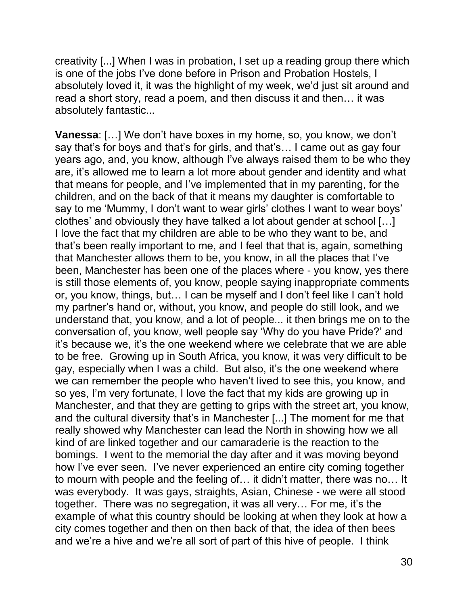creativity [...] When I was in probation, I set up a reading group there which is one of the jobs I've done before in Prison and Probation Hostels, I absolutely loved it, it was the highlight of my week, we'd just sit around and read a short story, read a poem, and then discuss it and then… it was absolutely fantastic...

**Vanessa**: […] We don't have boxes in my home, so, you know, we don't say that's for boys and that's for girls, and that's… I came out as gay four years ago, and, you know, although I've always raised them to be who they are, it's allowed me to learn a lot more about gender and identity and what that means for people, and I've implemented that in my parenting, for the children, and on the back of that it means my daughter is comfortable to say to me 'Mummy, I don't want to wear girls' clothes I want to wear boys' clothes' and obviously they have talked a lot about gender at school […] I love the fact that my children are able to be who they want to be, and that's been really important to me, and I feel that that is, again, something that Manchester allows them to be, you know, in all the places that I've been, Manchester has been one of the places where - you know, yes there is still those elements of, you know, people saying inappropriate comments or, you know, things, but… I can be myself and I don't feel like I can't hold my partner's hand or, without, you know, and people do still look, and we understand that, you know, and a lot of people... it then brings me on to the conversation of, you know, well people say 'Why do you have Pride?' and it's because we, it's the one weekend where we celebrate that we are able to be free. Growing up in South Africa, you know, it was very difficult to be gay, especially when I was a child. But also, it's the one weekend where we can remember the people who haven't lived to see this, you know, and so yes, I'm very fortunate, I love the fact that my kids are growing up in Manchester, and that they are getting to grips with the street art, you know, and the cultural diversity that's in Manchester [...] The moment for me that really showed why Manchester can lead the North in showing how we all kind of are linked together and our camaraderie is the reaction to the bomings. I went to the memorial the day after and it was moving beyond how I've ever seen. I've never experienced an entire city coming together to mourn with people and the feeling of… it didn't matter, there was no… It was everybody. It was gays, straights, Asian, Chinese - we were all stood together. There was no segregation, it was all very… For me, it's the example of what this country should be looking at when they look at how a city comes together and then on then back of that, the idea of then bees and we're a hive and we're all sort of part of this hive of people. I think